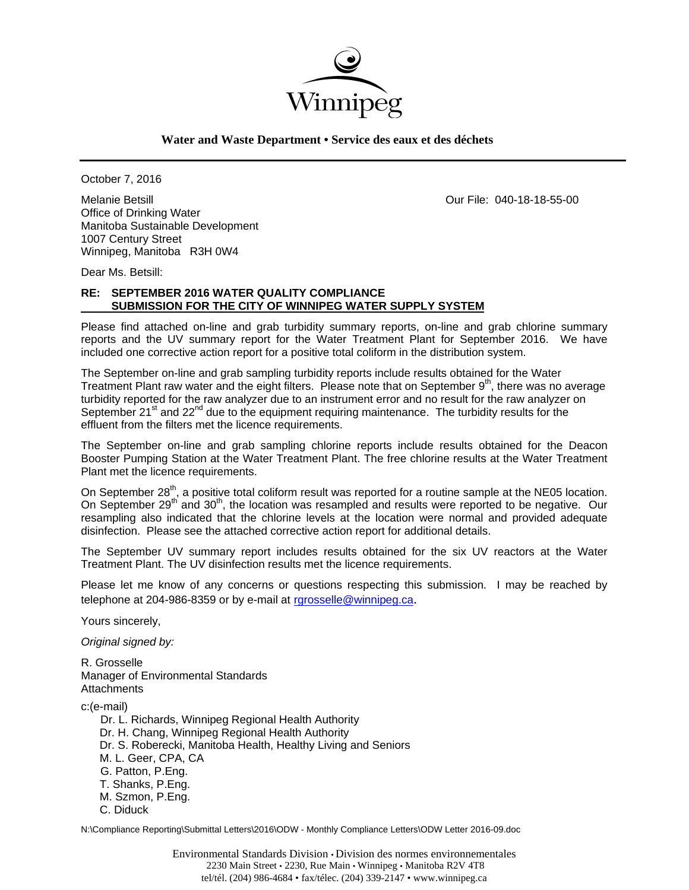

**Water and Waste Department • Service des eaux et des déchets**

October 7, 2016

Melanie Betsill Our File: 040-18-18-55-00 Office of Drinking Water Manitoba Sustainable Development 1007 Century Street Winnipeg, Manitoba R3H 0W4

Dear Ms. Betsill:

# **RE: SEPTEMBER 2016 WATER QUALITY COMPLIANCE SUBMISSION FOR THE CITY OF WINNIPEG WATER SUPPLY SYSTEM**

Please find attached on-line and grab turbidity summary reports, on-line and grab chlorine summary reports and the UV summary report for the Water Treatment Plant for September 2016. We have included one corrective action report for a positive total coliform in the distribution system.

The September on-line and grab sampling turbidity reports include results obtained for the Water Treatment Plant raw water and the eight filters. Please note that on September  $9<sup>th</sup>$ , there was no average turbidity reported for the raw analyzer due to an instrument error and no result for the raw analyzer on September 21 $\mathrm{^{st}}$  and 22 $\mathrm{^{nd}}$  due to the equipment requiring maintenance. The turbidity results for the effluent from the filters met the licence requirements.

The September on-line and grab sampling chlorine reports include results obtained for the Deacon Booster Pumping Station at the Water Treatment Plant. The free chlorine results at the Water Treatment Plant met the licence requirements.

On September 28<sup>th</sup>, a positive total coliform result was reported for a routine sample at the NE05 location. On September 29<sup>th</sup> and 30<sup>th</sup>, the location was resampled and results were reported to be negative. Our resampling also indicated that the chlorine levels at the location were normal and provided adequate disinfection. Please see the attached corrective action report for additional details.

The September UV summary report includes results obtained for the six UV reactors at the Water Treatment Plant. The UV disinfection results met the licence requirements.

Please let me know of any concerns or questions respecting this submission. I may be reached by telephone at 204-986-8359 or by e-mail at rgrosselle@winnipeg.ca.

Yours sincerely,

*Original signed by:* 

R. Grosselle Manager of Environmental Standards **Attachments** 

c:(e-mail)

 Dr. L. Richards, Winnipeg Regional Health Authority Dr. H. Chang, Winnipeg Regional Health Authority Dr. S. Roberecki, Manitoba Health, Healthy Living and Seniors M. L. Geer, CPA, CA G. Patton, P.Eng. T. Shanks, P.Eng. M. Szmon, P.Eng. C. Diduck

N:\Compliance Reporting\Submittal Letters\2016\ODW - Monthly Compliance Letters\ODW Letter 2016-09.doc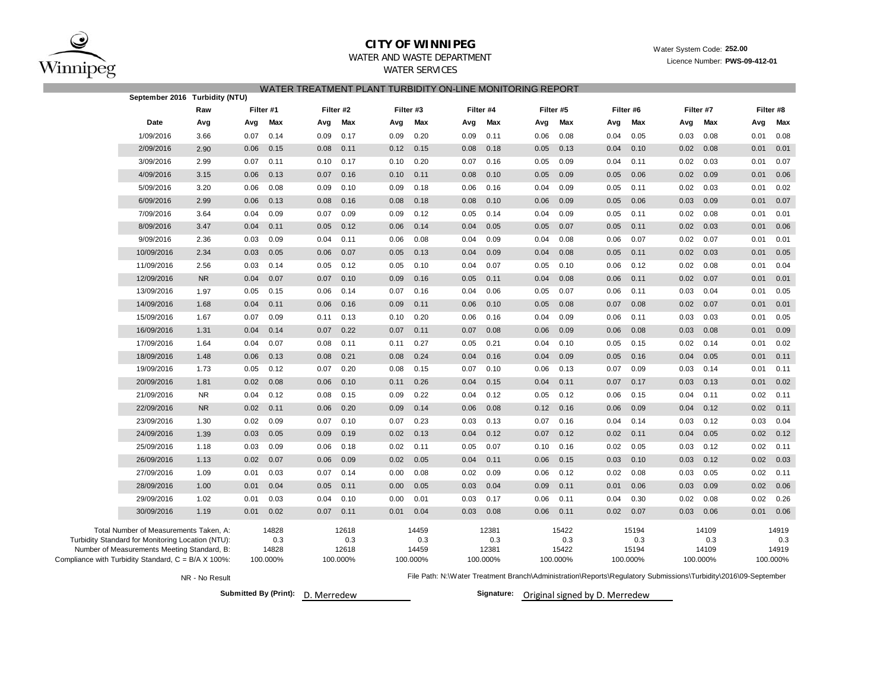

## **CITY OF WINNIPEG**

Water System Code: **252.00**

Licence Number: **PWS-09-412-01**

## WATER AND WASTE DEPARTMENTWATER SERVICES

WATER TREATMENT PLANT TURBIDITY ON-LINE MONITORING REPORT

|                                                              | September 2016 Turbidity (NTU)                                                              |                |      |              |      |              |      |              |      |              |      |              |      |              |                                                                                                                |              |      |              |
|--------------------------------------------------------------|---------------------------------------------------------------------------------------------|----------------|------|--------------|------|--------------|------|--------------|------|--------------|------|--------------|------|--------------|----------------------------------------------------------------------------------------------------------------|--------------|------|--------------|
|                                                              |                                                                                             | Raw            |      | Filter #1    |      | Filter #2    |      | Filter #3    |      | Filter #4    |      | Filter #5    |      | Filter #6    |                                                                                                                | Filter #7    |      | Filter #8    |
|                                                              | Date                                                                                        | Avg            | Avg  | Max          | Avg  | Max          | Avg  | Max          | Avg  | Max          | Avg  | Max          | Avg  | Max          | Avg                                                                                                            | Max          | Avg  | Max          |
|                                                              | 1/09/2016                                                                                   | 3.66           | 0.07 | 0.14         | 0.09 | 0.17         | 0.09 | 0.20         | 0.09 | 0.11         | 0.06 | 0.08         | 0.04 | 0.05         | 0.03                                                                                                           | 0.08         | 0.01 | 0.08         |
|                                                              | 2/09/2016                                                                                   | 2.90           | 0.06 | 0.15         | 0.08 | 0.11         | 0.12 | 0.15         | 0.08 | 0.18         | 0.05 | 0.13         | 0.04 | 0.10         | 0.02                                                                                                           | 0.08         | 0.01 | 0.01         |
|                                                              | 3/09/2016                                                                                   | 2.99           | 0.07 | 0.11         | 0.10 | 0.17         | 0.10 | 0.20         | 0.07 | 0.16         | 0.05 | 0.09         | 0.04 | 0.11         | 0.02                                                                                                           | 0.03         | 0.01 | 0.07         |
|                                                              | 4/09/2016                                                                                   | 3.15           | 0.06 | 0.13         | 0.07 | 0.16         | 0.10 | 0.11         | 0.08 | 0.10         | 0.05 | 0.09         | 0.05 | 0.06         | 0.02                                                                                                           | 0.09         | 0.01 | 0.06         |
|                                                              | 5/09/2016                                                                                   | 3.20           | 0.06 | 0.08         | 0.09 | 0.10         | 0.09 | 0.18         | 0.06 | 0.16         | 0.04 | 0.09         | 0.05 | 0.11         | 0.02                                                                                                           | 0.03         | 0.01 | 0.02         |
|                                                              | 6/09/2016                                                                                   | 2.99           | 0.06 | 0.13         | 0.08 | 0.16         | 0.08 | 0.18         | 0.08 | 0.10         | 0.06 | 0.09         | 0.05 | 0.06         | 0.03                                                                                                           | 0.09         | 0.01 | 0.07         |
|                                                              | 7/09/2016                                                                                   | 3.64           | 0.04 | 0.09         | 0.07 | 0.09         | 0.09 | 0.12         | 0.05 | 0.14         | 0.04 | 0.09         | 0.05 | 0.11         | 0.02                                                                                                           | 0.08         | 0.01 | 0.01         |
|                                                              | 8/09/2016                                                                                   | 3.47           | 0.04 | 0.11         | 0.05 | 0.12         | 0.06 | 0.14         | 0.04 | 0.05         | 0.05 | 0.07         | 0.05 | 0.11         | 0.02                                                                                                           | 0.03         | 0.01 | 0.06         |
|                                                              | 9/09/2016                                                                                   | 2.36           | 0.03 | 0.09         | 0.04 | 0.11         | 0.06 | 0.08         | 0.04 | 0.09         | 0.04 | 0.08         | 0.06 | 0.07         | 0.02                                                                                                           | 0.07         | 0.01 | 0.01         |
|                                                              | 10/09/2016                                                                                  | 2.34           | 0.03 | 0.05         | 0.06 | 0.07         | 0.05 | 0.13         | 0.04 | 0.09         | 0.04 | 0.08         | 0.05 | 0.11         | 0.02                                                                                                           | 0.03         | 0.01 | 0.05         |
|                                                              | 11/09/2016                                                                                  | 2.56           | 0.03 | 0.14         | 0.05 | 0.12         | 0.05 | 0.10         | 0.04 | 0.07         | 0.05 | 0.10         | 0.06 | 0.12         | 0.02                                                                                                           | 0.08         | 0.01 | 0.04         |
|                                                              | 12/09/2016                                                                                  | <b>NR</b>      | 0.04 | 0.07         | 0.07 | 0.10         | 0.09 | 0.16         | 0.05 | 0.11         | 0.04 | 0.08         | 0.06 | 0.11         | 0.02                                                                                                           | 0.07         | 0.01 | 0.01         |
|                                                              | 13/09/2016                                                                                  | 1.97           | 0.05 | 0.15         | 0.06 | 0.14         | 0.07 | 0.16         | 0.04 | 0.06         | 0.05 | 0.07         | 0.06 | 0.11         | 0.03                                                                                                           | 0.04         | 0.01 | 0.05         |
|                                                              | 14/09/2016                                                                                  | 1.68           | 0.04 | 0.11         | 0.06 | 0.16         | 0.09 | 0.11         | 0.06 | 0.10         | 0.05 | 0.08         | 0.07 | 0.08         | 0.02                                                                                                           | 0.07         | 0.01 | 0.01         |
|                                                              | 15/09/2016                                                                                  | 1.67           | 0.07 | 0.09         | 0.11 | 0.13         | 0.10 | 0.20         | 0.06 | 0.16         | 0.04 | 0.09         | 0.06 | 0.11         | 0.03                                                                                                           | 0.03         | 0.01 | 0.05         |
|                                                              | 16/09/2016                                                                                  | 1.31           | 0.04 | 0.14         | 0.07 | 0.22         | 0.07 | 0.11         | 0.07 | 0.08         | 0.06 | 0.09         | 0.06 | 0.08         | 0.03                                                                                                           | 0.08         | 0.01 | 0.09         |
|                                                              | 17/09/2016                                                                                  | 1.64           | 0.04 | 0.07         | 0.08 | 0.11         | 0.11 | 0.27         | 0.05 | 0.21         | 0.04 | 0.10         | 0.05 | 0.15         | 0.02                                                                                                           | 0.14         | 0.01 | 0.02         |
|                                                              | 18/09/2016                                                                                  | 1.48           | 0.06 | 0.13         | 0.08 | 0.21         | 0.08 | 0.24         | 0.04 | 0.16         | 0.04 | 0.09         | 0.05 | 0.16         | 0.04                                                                                                           | 0.05         | 0.01 | 0.11         |
|                                                              | 19/09/2016                                                                                  | 1.73           | 0.05 | 0.12         | 0.07 | 0.20         | 0.08 | 0.15         | 0.07 | 0.10         | 0.06 | 0.13         | 0.07 | 0.09         | 0.03                                                                                                           | 0.14         | 0.01 | 0.11         |
|                                                              | 20/09/2016                                                                                  | 1.81           | 0.02 | 0.08         | 0.06 | 0.10         | 0.11 | 0.26         | 0.04 | 0.15         | 0.04 | 0.11         | 0.07 | 0.17         | 0.03                                                                                                           | 0.13         | 0.01 | 0.02         |
|                                                              | 21/09/2016                                                                                  | <b>NR</b>      | 0.04 | 0.12         | 0.08 | 0.15         | 0.09 | 0.22         | 0.04 | 0.12         | 0.05 | 0.12         | 0.06 | 0.15         | 0.04                                                                                                           | 0.11         | 0.02 | 0.11         |
|                                                              | 22/09/2016                                                                                  | <b>NR</b>      | 0.02 | 0.11         | 0.06 | 0.20         | 0.09 | 0.14         | 0.06 | 0.08         | 0.12 | 0.16         | 0.06 | 0.09         | 0.04                                                                                                           | 0.12         | 0.02 | 0.11         |
|                                                              | 23/09/2016                                                                                  | 1.30           | 0.02 | 0.09         | 0.07 | 0.10         | 0.07 | 0.23         | 0.03 | 0.13         | 0.07 | 0.16         | 0.04 | 0.14         | 0.03                                                                                                           | 0.12         | 0.03 | 0.04         |
|                                                              | 24/09/2016                                                                                  | 1.39           | 0.03 | 0.05         | 0.09 | 0.19         | 0.02 | 0.13         | 0.04 | 0.12         | 0.07 | 0.12         | 0.02 | 0.11         | 0.04                                                                                                           | 0.05         | 0.02 | 0.12         |
|                                                              | 25/09/2016                                                                                  | 1.18           | 0.03 | 0.09         | 0.06 | 0.18         | 0.02 | 0.11         | 0.05 | 0.07         | 0.10 | 0.16         | 0.02 | 0.05         | 0.03                                                                                                           | 0.12         | 0.02 | 0.11         |
|                                                              | 26/09/2016                                                                                  | 1.13           | 0.02 | 0.07         | 0.06 | 0.09         | 0.02 | 0.05         | 0.04 | 0.11         | 0.06 | 0.15         | 0.03 | 0.10         | 0.03                                                                                                           | 0.12         | 0.02 | 0.03         |
|                                                              | 27/09/2016                                                                                  | 1.09           | 0.01 | 0.03         | 0.07 | 0.14         | 0.00 | 0.08         | 0.02 | 0.09         | 0.06 | 0.12         | 0.02 | 0.08         | 0.03                                                                                                           | 0.05         | 0.02 | 0.11         |
|                                                              | 28/09/2016                                                                                  | 1.00           | 0.01 | 0.04         | 0.05 | 0.11         | 0.00 | 0.05         | 0.03 | 0.04         | 0.09 | 0.11         | 0.01 | 0.06         | 0.03                                                                                                           | 0.09         | 0.02 | 0.06         |
|                                                              | 29/09/2016                                                                                  | 1.02           | 0.01 | 0.03         | 0.04 | 0.10         | 0.00 | 0.01         | 0.03 | 0.17         | 0.06 | 0.11         | 0.04 | 0.30         | 0.02                                                                                                           | 0.08         | 0.02 | 0.26         |
|                                                              | 30/09/2016                                                                                  | 1.19           | 0.01 | 0.02         | 0.07 | 0.11         | 0.01 | 0.04         | 0.03 | 0.08         | 0.06 | 0.11         | 0.02 | 0.07         | 0.03                                                                                                           | 0.06         | 0.01 | 0.06         |
|                                                              | Total Number of Measurements Taken, A:<br>Turbidity Standard for Monitoring Location (NTU): |                |      | 14828<br>0.3 |      | 12618<br>0.3 |      | 14459<br>0.3 |      | 12381<br>0.3 |      | 15422<br>0.3 |      | 15194<br>0.3 |                                                                                                                | 14109<br>0.3 |      | 14919<br>0.3 |
|                                                              | Number of Measurements Meeting Standard, B:                                                 |                |      | 14828        |      | 12618        |      | 14459        |      | 12381        |      | 15422        |      | 15194        |                                                                                                                | 14109        |      | 14919        |
| Compliance with Turbidity Standard, $C = B/A \times 100\%$ : |                                                                                             |                |      | 100.000%     |      | 100.000%     |      | 100.000%     |      | 100.000%     |      | 100.000%     |      | 100.000%     |                                                                                                                | 100.000%     |      | 100.000%     |
|                                                              |                                                                                             | NR - No Result |      |              |      |              |      |              |      |              |      |              |      |              | File Path: N:\Water Treatment Branch\Administration\Reports\Regulatory Submissions\Turbidity\2016\09-September |              |      |              |

**Submitted By (Print):** D. Merredew

Signature: Original signed by D. Merredew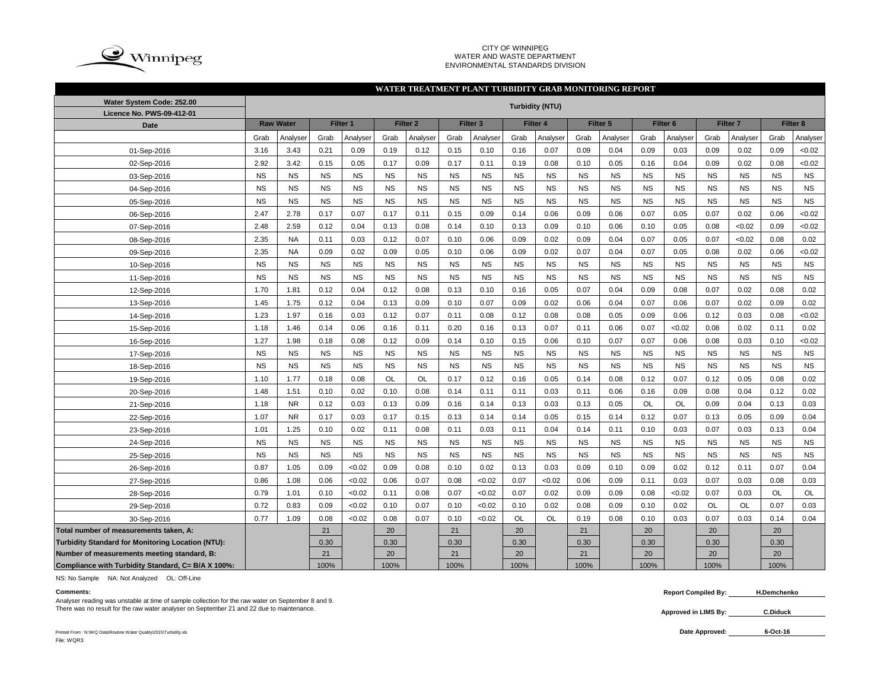

### CITY OF WINNIPEG WATER AND WASTE DEPARTMENT ENVIRONMENTAL STANDARDS DIVISION

### Grab |Analyser| Grab |Analyser| Grab |Analyser| Grab |Analyser| Grab |Analyser| Grab |Analyser| Grab |Grab |Analyser| Grab |Analyser 3.16 3.43 0.21 0.09 0.19 0.12 0.15 0.10 0.16 0.07 0.09 0.04 0.09 0.03 0.09 0.02 0.09 <0.02 2.92 3.42 0.15 0.05 0.17 0.09 0.17 0.11 0.19 0.08 0.10 0.05 0.16 0.04 0.09 0.02 0.08 <0.02 NS NS NS NS NS NS NS NS NS NS NS NS NS NS NS NS NS NS NS NS NS NS NS NS NS NS NS NS NS NS NS NS NS NS NS NS NS NS NS NS NS NS NS NS NS NS NS NS NS NS NS NS NS NS 2.47 2.78 0.17 0.07 0.17 0.11 0.15 0.09 0.14 0.06 0.09 0.06 0.07 0.05 0.07 0.02 0.06 <0.02 2.48 2.59 0.12 0.04 0.13 0.08 0.14 0.10 0.13 0.09 0.10 0.06 0.10 0.05 0.08 <0.02 0.09 <0.02 2.35 | NA | 0.11 | 0.03 | 0.12 | 0.07 | 0.10 | 0.06 | 0.09 | 0.02 | 0.09 | 0.04 | 0.07 | 0.05 | 0.07 | <0.02 | 0.08 | 0.02 2.35 | NA | 0.09 | 0.02 | 0.09 | 0.05 | 0.10 | 0.06 | 0.09 | 0.02 | 0.07 | 0.04 | 0.07 | 0.05 | 0.08 | 0.02 | 0.06 | <0.02 NS NS NS NS NS NS NS NS NS NS NS NS NS NS NS NS NS NS NS NS NS NS NS NS NS NS NS NS NS NS NS NS NS NS NS NS 1.70 | 1.81 | 0.12 | 0.04 | 0.12 | 0.08 | 0.13 | 0.10 | 0.16 | 0.05 | 0.07 | 0.04 | 0.09 | 0.08 | 0.07 | 0.02 | 0.08 | 0.02 1.45 | 1.75 | 0.12 | 0.04 | 0.13 | 0.09 | 0.10 | 0.07 | 0.09 | 0.02 | 0.06 | 0.04 | 0.07 | 0.06 | 0.07 | 0.02 | 0.09 | 0.02 1.23 | 1.97 | 0.16 | 0.03 | 0.12 | 0.07 | 0.11 | 0.08 | 0.12 | 0.08 | 0.08 | 0.05 | 0.09 | 0.06 | 0.12 | 0.03 | 0.08 | <0.02 1.18 | 1.46 | 0.14 | 0.06 | 0.16 | 0.11 | 0.20 | 0.16 | 0.13 | 0.07 | 0.11 | 0.06 | 0.07 | <0.02 | 0.08 | 0.02 | 0.11 | 0.02 1.27 | 1.98 | 0.18 | 0.08 | 0.12 | 0.09 | 0.14 | 0.10 | 0.15 | 0.06 | 0.10 | 0.07 | 0.07 | 0.06 | 0.08 | 0.03 | 0.10 | <0.02 NS NS NS NS NS NS NS NS NS NS NS NS NS NS NS NS NS NS NS NS NS NS NS NS NS NS NS NS NS NS NS NS NS NS NS NS 1.10 | 1.77 | 0.18 | 0.08 | OL | OL | 0.17 | 0.12 | 0.16 | 0.05 | 0.14 | 0.08 | 0.12 | 0.07 | 0.12 | 0.05 | 0.08 | 0.02 1.48 | 1.51 | 0.10 | 0.02 | 0.10 | 0.08 | 0.14 | 0.11 | 0.11 | 0.03 | 0.11 | 0.06 | 0.16 | 0.09 | 0.08 | 0.04 | 0.12 | 0.02 1.18 | NR | 0.12 | 0.03 | 0.13 | 0.09 | 0.16 | 0.14 | 0.13 | 0.03 | 0.13 | 0.05 | OL | OL | 0.09 | 0.04 | 0.13 | 0.03 1.07 | NR | 0.17 | 0.03 | 0.17 | 0.15 | 0.13 | 0.14 | 0.14 | 0.05 | 0.15 | 0.14 | 0.12 | 0.07 | 0.13 | 0.05 | 0.09 | 0.04 1.01 | 1.25 | 0.10 | 0.02 | 0.11 | 0.08 | 0.11 | 0.03 | 0.11 | 0.04 | 0.14 | 0.11 | 0.10 | 0.03 | 0.07 | 0.03 | 0.13 | 0.04 NS NS NS NS NS NS NS NS NS NS NS NS NS NS NS NS NS NS NS NS NS NS NS NS NS NS NS NS NS NS NS NS NS NS NS NS  $0.87$   $\mid$   $1.05$   $\mid$   $0.09$   $\mid$   $<$  $0.02$   $\mid$   $\mid$   $0.09$   $\mid$   $0.03$   $\mid$   $0.03$   $\mid$   $0.09$   $\mid$   $0.02$   $\mid$   $0.12$   $\mid$   $0.11$   $\mid$   $0.07$   $\mid$   $0.04$ 0.86 | 1.08 | 0.06 | <0.02 | 0.06 | 0.07 | 0.08 | <0.02 | 0.07 | <0.02 | 0.06 | 0.09 | 0.11 | 0.03 | 0.07 | 0.03 | 0.08 | 0.03 0.79 | 1.01 | 0.10 | <0.02 | 0.11 | 0.08 | 0.07 | <0.02 | 0.07 | 0.02 | 0.09 | 0.08 | <0.02 | 0.07 | 0.03 | OL | OL 0.72 | 0.83 | 0.09 | <0.02 | 0.10 | 0.07 | 0.10 | <0.02 | 0.10 | 0.02 | 0.08 | 0.09 | 0.10 | 0.02 | OL | OL | 0.07 | 0.03 0.77 | 1.09 | 0.08 | <0.02 | 0.08 | 0.07 | 0.10 | <0.02 | OL | OL | 0.19 | 0.08 | 0.10 | 0.03 | 0.07 | 0.03 | 0.14 | 0.04 **Total number of measurements taken, A:** 21 20 21 20 21 20 20 20 **Turbidity Standard for Monitoring Location (NTU):** | 0.30 | 0.30 | 0.30 | 0.30 | 0.30 | 0.30 | 0.30 | 0.30 | 0.30 | 0.30 | 0.30 | 0.30 | 0.30 | 0.30 | 0.30 | 0.30 | 0.30 | 0.30 | 0.30 | 0.30 | 0.30 | 0.30 | 0.30 | 0.30 | **Number of measurements meeting standard, B:** 21 20 21 20 21 20 20 20 **Compliance with Turbidity Standard, C= B/A X 100%:** 100% 100% 100% 100% 100% 100% 100% 100% 25-Sep-2016 26-Sep-2016 27-Sep-2016 28-Sep-2016 29-Sep-2016 30-Sep-2016 24-Sep-2016 13-Sep-2016 14-Sep-2016 15-Sep-2016 16-Sep-2016 17-Sep-2016 18-Sep-2016 19-Sep-2016 20-Sep-2016 21-Sep-2016 22-Sep-2016 23-Sep-2016 12-Sep-2016 01-Sep-2016 02-Sep-2016 03-Sep-2016 04-Sep-2016 05-Sep-2016 06-Sep-2016 07-Sep-2016 08-Sep-2016 09-Sep-2016 10-Sep-2016 11-Sep-2016 **WATER TREATMENT PLANT TURBIDITY GRAB MONITORING REPORT Water System Code: 252.00 Turbidity (NTU) Licence No. PWS-09-412-01 Date Raw Water Filter 1 Filter 2 Filter 3 Filter 4 Filter 5 Filter 6 Filter 7 Filter 8**

NS: No Sample NA: Not Analyzed OL: Off-Line

Analyser reading was unstable at time of sample collection for the raw water on September 8 and 9. There was no result for the raw water analyser on September 21 and 22 due to maintenance. **C.** Diduck **C.** Diduck

Printed From : N:\WQ Data\Routine Water Quality\2015\Turbidity.xls **Date Approved:** File: WQR3

**Comments: Report Compiled By: H.Demchenko**

**Approved in LIMS By:**

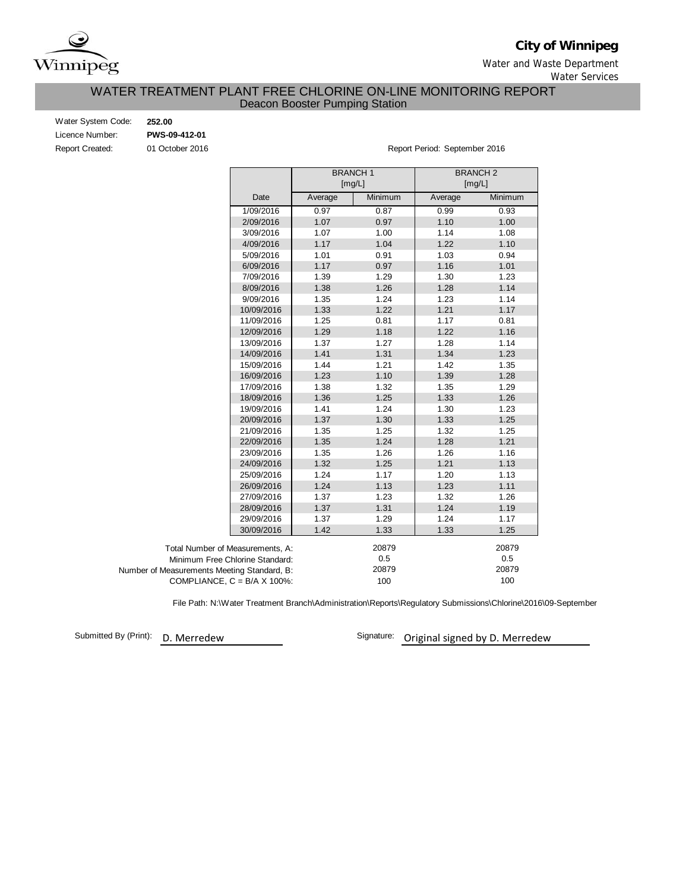

**City of Winnipeg**

Water and Waste Department

Water Services

# WATER TREATMENT PLANT FREE CHLORINE ON-LINE MONITORING REPORT Deacon Booster Pumping Station

| 252.00          |
|-----------------|
| PWS-09-412-01   |
| 01 October 2016 |
|                 |

er 2016 **Report Period: September 2016** Report Period: September 2016

|                                             |            |         | <b>BRANCH1</b><br>[mg/L] | <b>BRANCH2</b><br>[mg/L] |         |
|---------------------------------------------|------------|---------|--------------------------|--------------------------|---------|
|                                             | Date       | Average | Minimum                  | Average                  | Minimum |
|                                             | 1/09/2016  | 0.97    | 0.87                     | 0.99                     | 0.93    |
|                                             | 2/09/2016  | 1.07    | 0.97                     | 1.10                     | 1.00    |
|                                             | 3/09/2016  | 1.07    | 1.00                     | 1.14                     | 1.08    |
|                                             | 4/09/2016  | 1.17    | 1.04                     | 1.22                     | 1.10    |
|                                             | 5/09/2016  | 1.01    | 0.91                     | 1.03                     | 0.94    |
|                                             | 6/09/2016  | 1.17    | 0.97                     | 1.16                     | 1.01    |
|                                             | 7/09/2016  | 1.39    | 1.29                     | 1.30                     | 1.23    |
|                                             | 8/09/2016  | 1.38    | 1.26                     | 1.28                     | 1.14    |
|                                             | 9/09/2016  | 1.35    | 1.24                     | 1.23                     | 1.14    |
|                                             | 10/09/2016 | 1.33    | 1.22                     | 1.21                     | 1.17    |
|                                             | 11/09/2016 | 1.25    | 0.81                     | 1.17                     | 0.81    |
|                                             | 12/09/2016 | 1.29    | 1.18                     | 1.22                     | 1.16    |
|                                             | 13/09/2016 | 1.37    | 1.27                     | 1.28                     | 1.14    |
|                                             | 14/09/2016 | 1.41    | 1.31                     | 1.34                     | 1.23    |
|                                             | 15/09/2016 | 1.44    | 1.21                     | 1.42                     | 1.35    |
|                                             | 16/09/2016 | 1.23    | 1.10                     | 1.39                     | 1.28    |
|                                             | 17/09/2016 | 1.38    | 1.32                     | 1.35                     | 1.29    |
|                                             | 18/09/2016 | 1.36    | 1.25                     | 1.33                     | 1.26    |
|                                             | 19/09/2016 | 1.41    | 1.24                     | 1.30                     | 1.23    |
|                                             | 20/09/2016 | 1.37    | 1.30                     | 1.33                     | 1.25    |
|                                             | 21/09/2016 | 1.35    | 1.25                     | 1.32                     | 1.25    |
|                                             | 22/09/2016 | 1.35    | 1.24                     | 1.28                     | 1.21    |
|                                             | 23/09/2016 | 1.35    | 1.26                     | 1.26                     | 1.16    |
|                                             | 24/09/2016 | 1.32    | 1.25                     | 1.21                     | 1.13    |
|                                             | 25/09/2016 | 1.24    | 1.17                     | 1.20                     | 1.13    |
|                                             | 26/09/2016 | 1.24    | 1.13                     | 1.23                     | 1.11    |
|                                             | 27/09/2016 | 1.37    | 1.23                     | 1.32                     | 1.26    |
|                                             | 28/09/2016 | 1.37    | 1.31                     | 1.24                     | 1.19    |
|                                             | 29/09/2016 | 1.37    | 1.29                     | 1.24                     | 1.17    |
|                                             | 30/09/2016 | 1.42    | 1.33                     | 1.33                     | 1.25    |
| Total Number of Measurements, A:            |            |         | 20879                    |                          | 20879   |
| Minimum Free Chlorine Standard:             |            |         | 0.5                      |                          | 0.5     |
| Number of Measurements Meeting Standard, B: |            |         | 20879                    |                          | 20879   |
| COMPLIANCE, $C = B/A \times 100\%$ :        |            |         | 100                      |                          | 100     |

File Path: N:\Water Treatment Branch\Administration\Reports\Regulatory Submissions\Chlorine\2016\09-September

Submitted By (Print): D. Merredew

Signature: Original signed by D. Merredew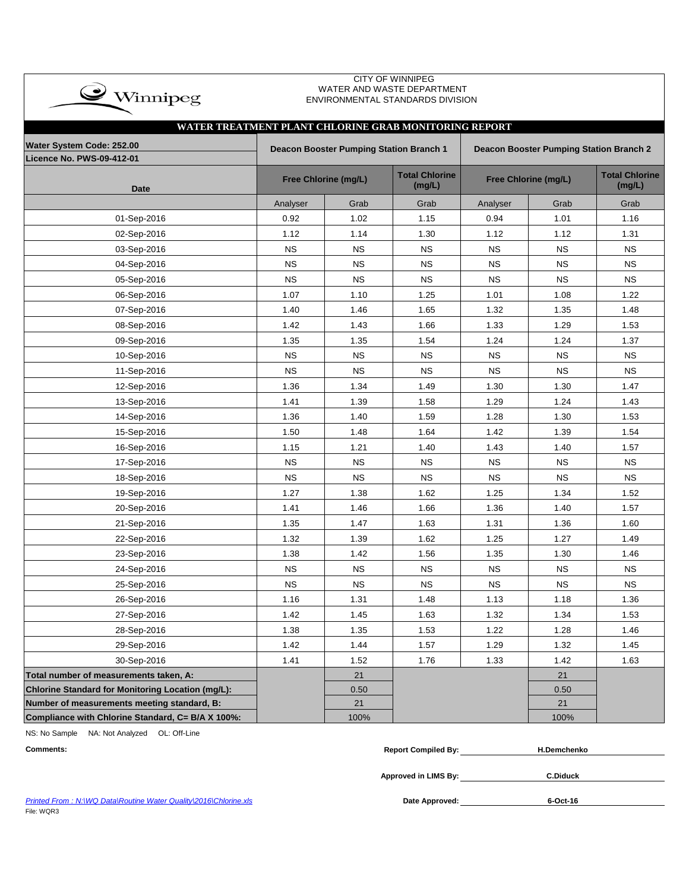| $\rightarrow$ Winnipeg                                   | UIT OF WINNIFEG<br>WATER AND WASTE DEPARTMENT<br>ENVIRONMENTAL STANDARDS DIVISION |                                                                                    |                                 |             |                      |                                 |  |  |  |  |  |  |
|----------------------------------------------------------|-----------------------------------------------------------------------------------|------------------------------------------------------------------------------------|---------------------------------|-------------|----------------------|---------------------------------|--|--|--|--|--|--|
| WATER TREATMENT PLANT CHLORINE GRAB MONITORING REPORT    |                                                                                   |                                                                                    |                                 |             |                      |                                 |  |  |  |  |  |  |
| Water System Code: 252.00                                |                                                                                   | Deacon Booster Pumping Station Branch 1<br>Deacon Booster Pumping Station Branch 2 |                                 |             |                      |                                 |  |  |  |  |  |  |
| <b>Licence No. PWS-09-412-01</b>                         |                                                                                   |                                                                                    |                                 |             |                      |                                 |  |  |  |  |  |  |
| <b>Date</b>                                              |                                                                                   | Free Chlorine (mg/L)                                                               | <b>Total Chlorine</b><br>(mg/L) |             | Free Chlorine (mg/L) | <b>Total Chlorine</b><br>(mg/L) |  |  |  |  |  |  |
|                                                          | Analyser                                                                          | Grab                                                                               | Grab                            | Analyser    | Grab                 | Grab                            |  |  |  |  |  |  |
| 01-Sep-2016                                              | 0.92                                                                              | 1.02                                                                               | 1.15                            | 0.94        | 1.01                 | 1.16                            |  |  |  |  |  |  |
| 02-Sep-2016                                              | 1.12                                                                              | 1.14                                                                               | 1.30                            | 1.12        | 1.12                 | 1.31                            |  |  |  |  |  |  |
| 03-Sep-2016                                              | ΝS                                                                                | ΝS                                                                                 | <b>NS</b>                       | ΝS          | ΝS                   | ΝS                              |  |  |  |  |  |  |
| 04-Sep-2016                                              | <b>NS</b>                                                                         | NS.                                                                                | ΝS                              | ΝS          | ΝS                   | <b>NS</b>                       |  |  |  |  |  |  |
| 05-Sep-2016                                              | <b>NS</b>                                                                         | <b>NS</b>                                                                          | <b>NS</b>                       | <b>NS</b>   | <b>NS</b>            | <b>NS</b>                       |  |  |  |  |  |  |
| 06-Sep-2016                                              | 1.07                                                                              | 1.10                                                                               | 1.25                            | 1.01        | 1.08                 | 1.22                            |  |  |  |  |  |  |
| 07-Sep-2016                                              | 1.40                                                                              | 1.46                                                                               | 1.65                            | 1.32        | 1.35                 | 1.48                            |  |  |  |  |  |  |
| 08-Sep-2016                                              | 1.42                                                                              | 1.43                                                                               | 1.66                            | 1.33        | 1.29                 | 1.53                            |  |  |  |  |  |  |
| 09-Sep-2016                                              | 1.35                                                                              | 1.35                                                                               | 1.54                            | 1.24        | 1.24                 | 1.37                            |  |  |  |  |  |  |
| 10-Sep-2016                                              | <b>NS</b>                                                                         | <b>NS</b>                                                                          | <b>NS</b>                       | <b>NS</b>   | <b>NS</b>            | <b>NS</b>                       |  |  |  |  |  |  |
| 11-Sep-2016                                              | <b>NS</b>                                                                         | <b>NS</b>                                                                          | <b>NS</b>                       | <b>NS</b>   | <b>NS</b>            | <b>NS</b>                       |  |  |  |  |  |  |
| 12-Sep-2016                                              | 1.36                                                                              | 1.34                                                                               | 1.49                            | 1.30        | 1.30                 | 1.47                            |  |  |  |  |  |  |
| 13-Sep-2016                                              | 1.41                                                                              | 1.39                                                                               | 1.58                            | 1.29        | 1.24                 | 1.43                            |  |  |  |  |  |  |
| 14-Sep-2016                                              | 1.36                                                                              | 1.40                                                                               | 1.59                            | 1.28        | 1.30                 | 1.53                            |  |  |  |  |  |  |
| 15-Sep-2016                                              | 1.50                                                                              | 1.48                                                                               | 1.64                            | 1.42        | 1.39                 | 1.54                            |  |  |  |  |  |  |
| 16-Sep-2016                                              | 1.15                                                                              | 1.21                                                                               | 1.40                            | 1.43        | 1.40                 | 1.57                            |  |  |  |  |  |  |
| 17-Sep-2016                                              | <b>NS</b>                                                                         | <b>NS</b>                                                                          | <b>NS</b>                       | <b>NS</b>   | <b>NS</b>            | <b>NS</b>                       |  |  |  |  |  |  |
| 18-Sep-2016                                              | <b>NS</b>                                                                         | <b>NS</b>                                                                          | <b>NS</b>                       | <b>NS</b>   | <b>NS</b>            | <b>NS</b>                       |  |  |  |  |  |  |
| 19-Sep-2016                                              | 1.27                                                                              | 1.38                                                                               | 1.62                            | 1.25        | 1.34                 | 1.52                            |  |  |  |  |  |  |
| 20-Sep-2016                                              | 1.41                                                                              | 1.46                                                                               | 1.66                            | 1.36        | 1.40                 | 1.57                            |  |  |  |  |  |  |
| 21-Sep-2016                                              | 1.35                                                                              | 1.47                                                                               | 1.63                            | 1.31        | 1.36                 | 1.60                            |  |  |  |  |  |  |
| 22-Sep-2016                                              | 1.32                                                                              | 1.39                                                                               | 1.62                            | 1.25        | 1.27                 | 1.49                            |  |  |  |  |  |  |
| 23-Sep-2016                                              | 1.38                                                                              | 1.42                                                                               | 1.56                            | 1.35        | 1.30                 | 1.46                            |  |  |  |  |  |  |
| 24-Sep-2016                                              | <b>NS</b>                                                                         | <b>NS</b>                                                                          | <b>NS</b>                       | <b>NS</b>   | <b>NS</b>            | <b>NS</b>                       |  |  |  |  |  |  |
| 25-Sep-2016                                              | $_{\rm NS}$                                                                       | <b>NS</b>                                                                          | $_{\rm NS}$                     | $_{\rm NS}$ | ${\sf NS}$           | <b>NS</b>                       |  |  |  |  |  |  |
| 26-Sep-2016                                              | 1.16                                                                              | 1.31                                                                               | 1.48                            | 1.13        | 1.18                 | 1.36                            |  |  |  |  |  |  |
| 27-Sep-2016                                              | 1.42                                                                              | 1.45                                                                               | 1.63                            | 1.32        | 1.34                 | 1.53                            |  |  |  |  |  |  |
| 28-Sep-2016                                              | 1.38                                                                              | 1.35                                                                               | 1.53                            | 1.22        | 1.28                 | 1.46                            |  |  |  |  |  |  |
| 29-Sep-2016                                              | 1.42                                                                              | 1.44                                                                               | 1.57                            | 1.29        | 1.32                 | 1.45                            |  |  |  |  |  |  |
| 30-Sep-2016                                              | 1.41                                                                              | 1.52                                                                               | 1.76                            | 1.33        | 1.42                 | 1.63                            |  |  |  |  |  |  |
| Total number of measurements taken, A:                   |                                                                                   | 21                                                                                 |                                 |             | 21                   |                                 |  |  |  |  |  |  |
| <b>Chlorine Standard for Monitoring Location (mg/L):</b> |                                                                                   | 0.50                                                                               |                                 |             | 0.50                 |                                 |  |  |  |  |  |  |
| Number of measurements meeting standard, B:              |                                                                                   | 21                                                                                 |                                 |             | 21                   |                                 |  |  |  |  |  |  |
| Compliance with Chlorine Standard, C= B/A X 100%:        |                                                                                   | 100%                                                                               |                                 |             | 100%                 |                                 |  |  |  |  |  |  |

CITY OF WINNIPEG

NS: No Sample NA: Not Analyzed OL: Off-Line

| <b>Comments:</b> | <b>Report Compiled By:</b> | <b>H.Demchenko</b> |
|------------------|----------------------------|--------------------|
|                  |                            |                    |

**Approved in LIMS By: C.Diduck**

**6-Oct-16**

Printed From : N:\WQ Data\Routine Water Quality\2016\Chlorine.xls **Date Approved:** Date Approved: File: WQR3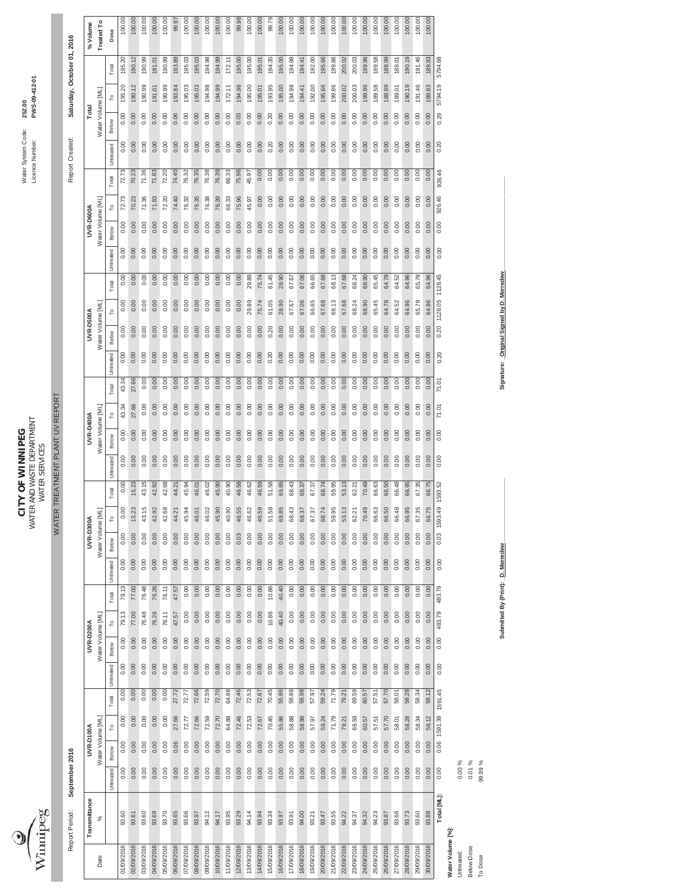

WATER AND WASTE DEPARTMENT LIcence Number: **PWS-09-412-01 CITY OF WINNIPEG** Water System Code: **252.00 CITY OF WINNIPEG**<br>WATER AND WASTE DEPARTMENT<br>WATER SERVICES WATER SERVICES

WATER TREATMENT PLANT UV REPORT

WATER TREATMENT PLANT UV REPORT

Report Period: September 2016

 $\mathsf{l}$ 

Saturday, October 01, 2016 Report Period: **September 2016** Report Created: **Saturday, October 01, 2016** Report Created:

|                   | Transmittance |           | UVR-D100A        |         |         |                    | <b>UVR-D200A</b>  |        |               | UVR-D300A    |         |         |           | UVR-D400A        |       |       |                                | <b>UVR-D500A</b>  |                    |           |       | UVR-D600A         |                |           | Total             |                        |                        | % Volume   |  |
|-------------------|---------------|-----------|------------------|---------|---------|--------------------|-------------------|--------|---------------|--------------|---------|---------|-----------|------------------|-------|-------|--------------------------------|-------------------|--------------------|-----------|-------|-------------------|----------------|-----------|-------------------|------------------------|------------------------|------------|--|
| Date              | ℅             |           | Water Volume IML |         |         |                    | Water Volume [ML] |        |               | Water Volume | [NI]    |         |           | Water Volume IML |       |       |                                | Water Volume [ML] |                    |           |       | Water Volume [ML] |                |           | Water Volume [ML] |                        |                        | Treated To |  |
|                   |               | Untreated | Below            | Ľ       | Total   | Below<br>Untreated | ۴                 | Total  | Untreated     | Below        |         | Total   | Untreated | Below            | ۲°    | Total | <b><i><u>Untreated</u></i></b> | Below             | Total              | Untreated | Below | ۲°                | Total          | Untreated | Below             |                        | Total                  | Dose       |  |
| 01/09/2016        | 93.60         | 0.00      | 0.00             | 0.00    | 0.00    | 0.00               | 0.00              | 79.13  | 0.00<br>79.13 | 0.00         | 0.00    | 0.00    | 0.00      | 0.00             | 43.34 | 43.34 | 0.00                           | 0.00              | 0.00               | 0.00      | 0.00  | 0.00              | 72.73<br>72.73 | 0.00      | 0.00              | ୟ<br>$-35$             | 195.20                 | 100.00     |  |
| 02/09/2016        | 93.61         | 0.00      | 0.00             | 0.00    | 0.00    | 0.00               | 0.00              | 77.00  | 0.00<br>77.00 | 0.00         | 15.23   | 15.23   | 0.00      | 0.00             | 27.66 | 27.66 | 0.00                           | 0.00              | 0.00               | 0.00      | 0.00  | 0.00              | 70.23<br>70.23 | 0.00      | 0.00              | 190.12                 | 190.12                 | 100.00     |  |
| 03/09/2016        | 93.60         | 0.00      | 0.00             | 0.00    | 0.00    | 0.00               | 0.00              | 76.48  | 0.00<br>76.48 | 0.00         | 43.15   | 43.15   | 0.00      | 0.00             | 0.00  | 0.00  | 0.00                           | 0.00              | 0.00               | 0.00      | 0.00  | 0.00              | 71.36<br>71.36 | 0.00      | 0.00              | 190.99                 | 190.99                 | 100.00     |  |
| 04/09/2016        | 93.69         | 0.00      | 0.00             | 0.00    | 0.00    | 0.00               | 0.00              | 76.26  | 0.00<br>76.26 | 0.00         | 42.92   | 42.92   | 0.00      | 0.00             | 0.00  | 0.00  | 0.00                           | 0.00              | 0.00               | 0.00      | 0.00  | 0.00              | 71.83<br>71.83 | 0.00      | 0.00              | 191.01                 | $\overline{0}$<br>191. | 100.00     |  |
| 05/09/2016        | 93.70         | 0.00      | 0.00             | 0.00    | 0.00    | 0.00               | 0.00              | 76.11  | 0.00<br>76.11 | 0.00         | 42.68   | 42.68   | 0.00      | 0.00             | 0.00  | 0.00  | 0.00                           | 0.00              | 0.00               | 0.00      | 0.00  | 0.00              | 72.20<br>72.20 | 0.00      | 0.00              | 190.99                 | 190.99                 | 100.00     |  |
| 06/09/2016        | 93.65         | 0.00      | 0.06             | 27.66   | 27.72   | 0.00               | 0.00              | 47.57  | 0.00<br>47.57 | 0.00         | 44.21   | 44.21   | 0.00      | 0.00             | 0.00  | 0.00  | 0.00                           | 0.00              | 0.00               | 0.00      | 0.00  | 0.00              | 74.40<br>74.40 | 0.00      | 0.06              | $\mathfrak{B}$<br>193. | 193.89                 | 99.97      |  |
| 07/09/2016        | 93.66         | 0.00      | 0.00             | 72.77   | 72.77   | 0.00               | 0.00              | 0.00   | 0.00<br>0.00  | 0.00         | 45.94   | 45.94   | 0.00      | 0.00             | 0.00  | 0.00  | 0.00                           | 0.00              | 0.00               | 0.00      | 0.00  | 0.00              | 76.32<br>76.32 | 0.00      | 0.00              | 195.03                 | 195.03                 | 100.00     |  |
| 08/09/2016        | 93.97         | 0.00      | 0.00             | 72.66   | 72.66   | 0.00               | 0.00              | 0.00   | 0.00<br>0.00  | 0.00         | 46.01   | 46.01   | 0.00      | 0.00             | 0.00  | 0.00  | 0.00                           | 0.00              | 0.00               | 0.00      | 0.00  | 0.00              | 76.35<br>76.35 | 0.00      | 0.00              | 195.03                 | 195.03                 | 100.00     |  |
| 09/09/2016        | 94.12         | 0.00      | 0.00             | 72.59   | 72.59   | 0.00               | 0.00              | 0.00   | 0.00<br>0.00  | 0.00         | 46.02   | 46.02   | 0.00      | 0.00             | 0.00  | 0.00  | 0.00                           | 0.00              | 0.00               | 0.00      | 0.00  | 0.00              | 76.38<br>76.38 | 0.00      | 0.00              | 194.98                 | 194.98                 | 100.00     |  |
| 10/09/2016        | 94.17         | 0.00      | 0.00             | 72.70   | 72.70   | 0.00               | 0.00              | 0.00   | 0.00<br>0.00  | 0.00         | 45.90   | 45.90   | 0.00      | 0.00             | 0.00  | 0.00  | 0.00                           | 0.00              | 0.00               | 0.00      | 0.00  | 0.00              | 76.39<br>76.39 | 0.00      | 0.00              | 194.99                 | 194.99                 | 100.00     |  |
| 11/09/2016        | 93.95         | 0.00      | 0.00             | 64.88   | 64.88   | 0.00               | 0.00              | 0.00   | 0.00<br>0.00  | 0.00         | 40.90   | 40.90   | 0.00      | 0.00             | 0.00  | 0.00  | 0.00                           | 0.00              | 0.00               | 0.00      | 0.00  | 0.00              | 66.33<br>56.33 | 0.00      | 0.00              | 172.11                 | 172.11                 | 100.00     |  |
| 12/09/2016        | 93.29         | 0.00      | 0.00             | 72.46   | 72.46   | 0.00               | 0.00              | 0.00   | 0.00<br>0.00  | 0.03         | 46.55   | 46.58   | 0.00      | 0.00             | 0.00  | 0.00  | 0.00                           | 0.00              | 0.00               | 0.00      | 0.00  | 0.00              | 75.96<br>75.96 | 0.00      | 0.03              | 194.96                 | 195.00                 | 99.98      |  |
| 13/09/2016        | 94.14         | 0.00      | 0.00             | 72.53   | 72.53   | 0.00               | 0.00              | 0.00   | 0.00<br>0.00  | 0.00         | 46.62   | 46.62   | 0.00      | 0.00             | 0.00  | 0.00  | 0.00                           | 0.00              | 29.89              | 29.89     | 0.00  | 0.00              | 45.97<br>45.97 | 0.00      | 0.00              | 195.00                 | 195.00                 | 100.00     |  |
| 14/09/2016        | 93.94         | 0.00      | 0.00             | 72.67   | 72.67   | 0.00               | 0.00              | 0.00   | 0.00<br>0.00  | 0.00         | 46.59   | 46.59   | 0.00      | 0.00             | 0.00  | 0.00  | 0.00                           | 0.00              | 75.74              | 75.74     | 0.00  | 0.00              | 0.00<br>0.00   | 0.00      | 0.00              | 195.01                 | 195.01                 | 100.00     |  |
| 15/09/2016        | 93.34         | 0.00      | 0.00             | 70.45   | 70.45   | 0.00               | 0.00              | 10.86  | 0.00<br>10.86 | 0.00         | 51.58   | 51.58   | 0.00      | 0.00             | 0.00  | 0.00  | 0.20                           | 0.20              | 61.05              | 61.45     | 0.00  | 0.00              | 0.00<br>0.00   | 0.20      | 0.20              | 193.95                 | 194.35                 | 99.79      |  |
| 16/09/2016        | 93.97         | 0.00      | 0.00             | 55.86   | 55.86   | 0.00               | 0.00              | 40.40  | 0.00<br>40.40 | 0.00         | 69.85   | 69.85   | 0.00      | 0.00             | 0.00  | 0.00  | 0.00                           | 0.00              | 28.90              | 28.90     | 0.00  | 0.00              | 0.00<br>0.00   | 0.00      | 0.00              | 195.00                 | 195.00                 | 100.00     |  |
| 17/09/2016        | 93.91         | 0.00      | 0.00             | 58.88   | 58.88   | 0.00               | 0.00              | 0.00   | 0.00<br>0.00  | 0.00         | 68.43   | 68.43   | 0.00      | 0.00             | 0.00  | 0.00  | 0.00                           | 0.00              | 67.67              | 67.67     | 0.00  | 0.00              | 0.00<br>0.00   | 0.00      | 0.00              | 194.98                 | 194.98                 | 100.00     |  |
| 18/09/2016        | 94.00         | 0.00      | 0.00             | 58.98   | 58.98   | 0.00               | 0.00              | 0.00   | 0.00<br>0.00  | 0.00         | 68.37   | 68.37   | 0.00      | 0.00             | 0.00  | 0.00  | 0.00                           | 0.00              | 67.06              | 67.06     | 0.00  | 0.00              | 0.00<br>0.00   | 0.00      | 0.00              | 194.41                 | 194.41                 | 100.00     |  |
| 19/09/2016        | 93.21         | 0.00      | 0.00             | 57.97   | 57.97   | 0.00               | 0.00              | 0.00   | 0.00<br>0.00  | 0.00         | 67.37   | 67.37   | 0.00      | 0.00             | 0.00  | 0.00  | 0.00                           | 0.00              | 66.65              | 66.65     | 0.00  | 0.00              | 0.00<br>0.00   | 0.00      | 0.00              | 192.00                 | 192.00                 | 100.00     |  |
| 20/09/2016        | 93.47         | 0.00      | 0.00             | 59.24   | 59.24   | 0.00               | 0.00              | 0.00   | 0.00<br>0.00  | 0.00         | 68.74   | 68.74   | 0.00      | 0.00             | 0.00  | 0.00  | 0.00                           | 0.00              | 67.68              | 67.68     | 0.00  | 0.00              | 0.00<br>0.00   | 0.00      | 0.00              | 195.66                 | 195.66                 | 100.00     |  |
| 21/09/2016        | 93.55         | 0.00      | 0.00             | 71.79   | 71.79   | 0.00               | 0.00              | 0.00   | 0.00<br>0.00  | 0.00         | 59.95   | 59.95   | 0.00      | 0.00             | 0.00  | 0.00  | 0.00                           | 0.00              | 68.13              | 68.13     | 0.00  | 0.00              | 0.00<br>0.00   | 0.00      | 0.00              | 199.86                 | 199.86                 | 100.00     |  |
| 22/09/2016        | 94.22         | 0.00      | 0.00             | 79.21   | 79.21   | 0.00               | 0.00              | 0.00   | 0.00<br>0.00  | 0.00         | 53.13   | 53.13   | 0.00      | 0.00             | 0.00  | 0.00  | 0.00                           | 0.00              | 67.68              | 67.68     | 0.00  | 0.00              | 0.00<br>0.00   | 0.00      | 0.00              | 200.02                 | 200.02                 | 100.00     |  |
| 23/09/2016        | 94.37         | 0.00      | 0.00             | 69.59   | 69.59   | 0.00               | 0.00              | 0.00   | 0.00<br>0.00  | 0.00         | 62.21   | 62.21   | 0.00      | 0.00             | 0.00  | 0.00  | 0.00                           | 0.00              | 68.24              | 68.24     | 0.00  | 0.00              | 0.00<br>0.00   | 0.00      | 0.00              | 200.03                 | 200.03                 | 100.00     |  |
| 24/09/2016        | 94.32         | 0.00      | 0.00             | 60.57   | 60.57   | 0.00               | 0.00              | 0.00   | 0.00<br>0.00  | 0.00         | 70.49   | 70.49   | 0.00      | 0.00             | 0.00  | 0.00  | 0.00                           | 0.00              | 68.90              | 68.90     | 0.00  | 0.00              | 0.00<br>0.00   | 0.00      | 0.00              | 199.96                 | 199.96                 | 100.00     |  |
| 25/09/2016        | 94.23         | 0.00      | 0.00             | 57.51   | 57.51   | 0.00               | 0.00              | 0.00   | 0.00<br>0.00  | 0.00         | 66.63   | 66.63   | 0.00      | 0.00             | 0.00  | 0.00  | 0.00                           | 0.00              | 65.45              | 65.45     | 0.00  | 0.00              | 0.00<br>0.00   | 0.00      | 0.00              | 189.58                 | 189.58                 | 100.00     |  |
| 26/09/2016        | 93.87         | 0.00      | 0.00             | 57.70   | 57.70   | 0.00               | 0.00              | 0.00   | 0.00<br>0.00  | 0.00         | 66.50   | 66.50   | 0.00      | 0.00             | 0.00  | 0.00  | 0.00                           | 0.00              | 64.78              | 64.78     | 0.00  | 0.00              | 0.00<br>0.00   | 0.00      | 0.00              | 188.99                 | 188.99                 | 100.00     |  |
| 27/09/2016        | 93.66         | 0.00      | 0.00             | 58.01   | 58.01   | 0.00               | 0.00              | 0.00   | 0.00<br>0.00  | 0.00         | 66.48   | 66.48   | 0.00      | 0.00             | 0.00  | 0.00  | 0.00                           | 0.00              | 64.52              | 64.52     | 0.00  | 0.00              | 0.00<br>0.00   | 0.00      | 0.00              | 189.01                 | 189.01                 | 100.00     |  |
| 28/09/2016        | 93.73         | 0.00      | 0.00             | 58.28   | 58.28   | 0.00               | 0.00              | 0.00   | 0.00<br>0.00  | 0.00         | 66.95   | 66.95   | 0.00      | 0.00             | 0.00  | 0.00  | 0.00                           | 0.00              | 64.96              | 64.96     | 0.00  | 0.00              | 0.00<br>0.00   | 0.00      | 0.00              | 190.19                 | 190.19                 | 100.00     |  |
| 29/09/2016        | 93.60         | 0.00      | 0.00             | 58.34   | 58.34   | 0.00               | 0.00              | 0.00   | 0.00<br>0.00  | 0.00         | 67.35   | 67.35   | 0.00      | 0.00             | 0.00  | 0.00  | 0.00                           | 0.00              | 65.78              | 65.78     | 0.00  | 0.00              | 0.00<br>0.00   | 0.00      | 0.00              | 191.46                 | 191.46                 | 100.00     |  |
| 30/09/2016        | 93.88         | 0.00      | 0.00             | 58.12   | 58.12   | 0.00               | 0.00              | 0.00   | 0.00<br>0.00  | 0.00         | 66.75   | 66.75   | 0.00      | 0.00             | 0.00  | 0.00  | 0.00                           | 0.00              | 64.96              | 64.96     | 0.00  | 0.00              | 0.00<br>0.00   | 0.00      | 0.00              | 189.83                 | 189.83                 | 100.00     |  |
|                   | Total [ML]:   | 0.00      | 0.06             | 1591.39 | 1591.45 | 0.00               | 483.79<br>0.00    | 483.79 | 0.00          | 0.03         | 1593.49 | 1593.52 | 0.00      | 0.00             | 71.01 | 71.01 | 0.20                           | 0.20              | 1128.45<br>1128.05 |           | 0.00  | 926.46<br>0.00    | 926.46         | 0.20      | 0.29              | 5794.19                | 5794.68                |            |  |
| Water Volume [%]  |               |           |                  |         |         |                    |                   |        |               |              |         |         |           |                  |       |       |                                |                   |                    |           |       |                   |                |           |                   |                        |                        |            |  |
| Untreated:        |               | $0.00\%$  |                  |         |         |                    |                   |        |               |              |         |         |           |                  |       |       |                                |                   |                    |           |       |                   |                |           |                   |                        |                        |            |  |
| <b>Below Dose</b> |               | 0.01%     |                  |         |         |                    |                   |        |               |              |         |         |           |                  |       |       |                                |                   |                    |           |       |                   |                |           |                   |                        |                        |            |  |
| To Dose           |               | 99.99 %   |                  |         |         |                    |                   |        |               |              |         |         |           |                  |       |       |                                |                   |                    |           |       |                   |                |           |                   |                        |                        |            |  |

Submitted By (Print): D. Merredew

**Submitted By (Print): \_D. Merredew\_\_\_\_\_\_\_\_\_\_\_\_\_\_\_\_\_\_\_\_ Signature: \_Original Signed by D. Merredew\_\_\_\_\_\_\_\_\_\_\_\_\_\_\_\_\_\_\_\_\_\_\_\_\_\_\_\_\_** Signature: Original Signed by D. Merredew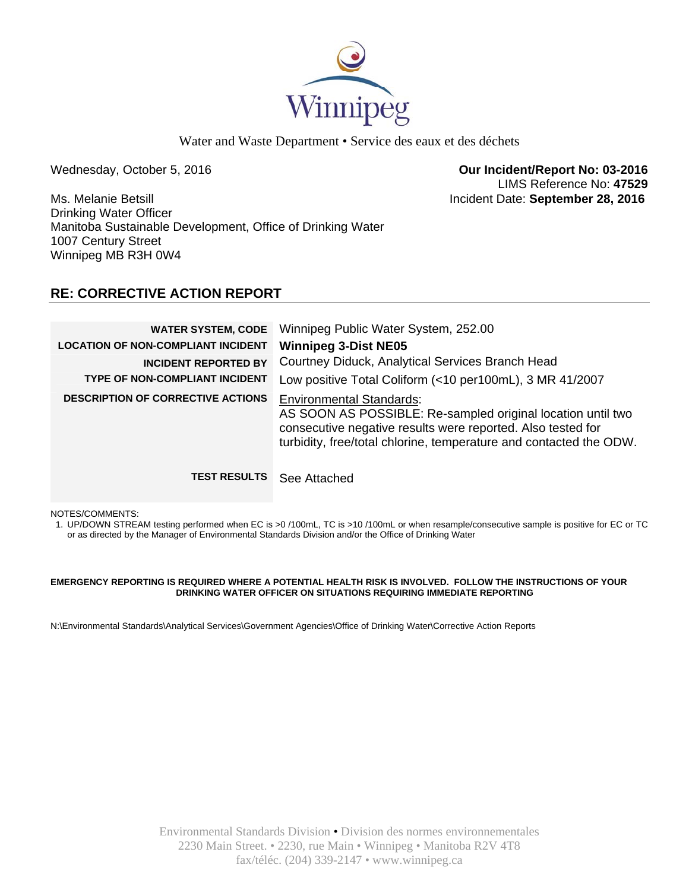

Water and Waste Department • Service des eaux et des déchets

Wednesday, October 5, 2016 **Our Incident/Report No: 03-2016**  LIMS Reference No: **47529**

Ms. Melanie Betsill Incident Date: **September 28, 2016**  Drinking Water Officer Manitoba Sustainable Development, Office of Drinking Water 1007 Century Street Winnipeg MB R3H 0W4

# **RE: CORRECTIVE ACTION REPORT**

| <b>WATER SYSTEM, CODE</b><br><b>LOCATION OF NON-COMPLIANT INCIDENT</b><br><b>INCIDENT REPORTED BY</b><br><b>TYPE OF NON-COMPLIANT INCIDENT</b> | Winnipeg Public Water System, 252.00<br><b>Winnipeg 3-Dist NE05</b><br>Courtney Diduck, Analytical Services Branch Head<br>Low positive Total Coliform (<10 per100mL), 3 MR 41/2007                                                 |
|------------------------------------------------------------------------------------------------------------------------------------------------|-------------------------------------------------------------------------------------------------------------------------------------------------------------------------------------------------------------------------------------|
| <b>DESCRIPTION OF CORRECTIVE ACTIONS</b>                                                                                                       | <b>Environmental Standards:</b><br>AS SOON AS POSSIBLE: Re-sampled original location until two<br>consecutive negative results were reported. Also tested for<br>turbidity, free/total chlorine, temperature and contacted the ODW. |
| <b>TEST RESULTS</b>                                                                                                                            | See Attached                                                                                                                                                                                                                        |

NOTES/COMMENTS:

1. UP/DOWN STREAM testing performed when EC is >0 /100mL, TC is >10 /100mL or when resample/consecutive sample is positive for EC or TC or as directed by the Manager of Environmental Standards Division and/or the Office of Drinking Water

### **EMERGENCY REPORTING IS REQUIRED WHERE A POTENTIAL HEALTH RISK IS INVOLVED. FOLLOW THE INSTRUCTIONS OF YOUR DRINKING WATER OFFICER ON SITUATIONS REQUIRING IMMEDIATE REPORTING**

N:\Environmental Standards\Analytical Services\Government Agencies\Office of Drinking Water\Corrective Action Reports